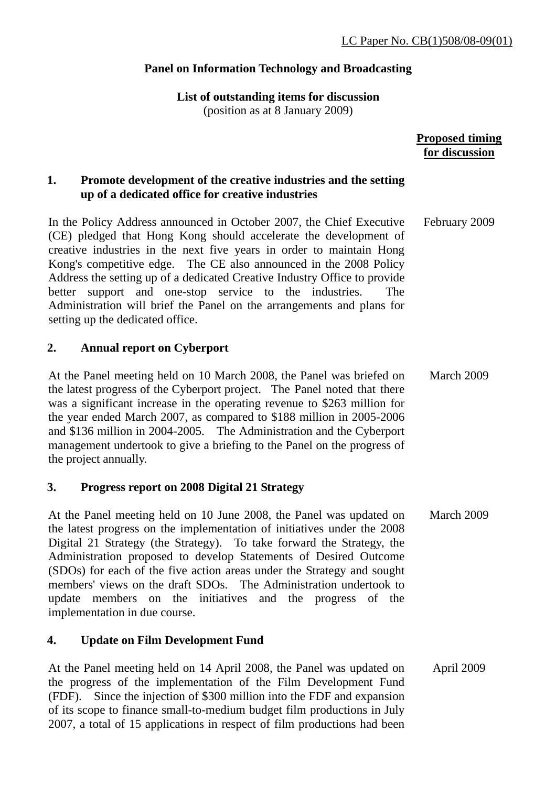# **Panel on Information Technology and Broadcasting**

**List of outstanding items for discussion** 

(position as at 8 January 2009)

|                                                                                                                                                                                                                                                                                                                                                                                                                                                                                                                                                  | <b>Proposed timing</b><br>for discussion |
|--------------------------------------------------------------------------------------------------------------------------------------------------------------------------------------------------------------------------------------------------------------------------------------------------------------------------------------------------------------------------------------------------------------------------------------------------------------------------------------------------------------------------------------------------|------------------------------------------|
| Promote development of the creative industries and the setting<br>1.<br>up of a dedicated office for creative industries                                                                                                                                                                                                                                                                                                                                                                                                                         |                                          |
| In the Policy Address announced in October 2007, the Chief Executive<br>(CE) pledged that Hong Kong should accelerate the development of<br>creative industries in the next five years in order to maintain Hong<br>Kong's competitive edge. The CE also announced in the 2008 Policy<br>Address the setting up of a dedicated Creative Industry Office to provide<br>better support and one-stop service to the industries.<br>The<br>Administration will brief the Panel on the arrangements and plans for<br>setting up the dedicated office. | February 2009                            |
| 2.<br><b>Annual report on Cyberport</b>                                                                                                                                                                                                                                                                                                                                                                                                                                                                                                          |                                          |
| At the Panel meeting held on 10 March 2008, the Panel was briefed on<br>the latest progress of the Cyberport project. The Panel noted that there<br>was a significant increase in the operating revenue to \$263 million for<br>the year ended March 2007, as compared to \$188 million in 2005-2006<br>and \$136 million in 2004-2005. The Administration and the Cyberport<br>management undertook to give a briefing to the Panel on the progress of<br>the project annually.                                                                 | March 2009                               |
| <b>Progress report on 2008 Digital 21 Strategy</b><br>3.                                                                                                                                                                                                                                                                                                                                                                                                                                                                                         |                                          |
| At the Panel meeting held on 10 June 2008, the Panel was updated on<br>the latest progress on the implementation of initiatives under the 2008<br>Digital 21 Strategy (the Strategy). To take forward the Strategy, the<br>Administration proposed to develop Statements of Desired Outcome<br>(SDOs) for each of the five action areas under the Strategy and sought<br>members' views on the draft SDOs. The Administration undertook to<br>update members on the initiatives and the progress of the<br>implementation in due course.         | March 2009                               |

# **4. Update on Film Development Fund**

At the Panel meeting held on 14 April 2008, the Panel was updated on the progress of the implementation of the Film Development Fund (FDF). Since the injection of \$300 million into the FDF and expansion of its scope to finance small-to-medium budget film productions in July 2007, a total of 15 applications in respect of film productions had been April 2009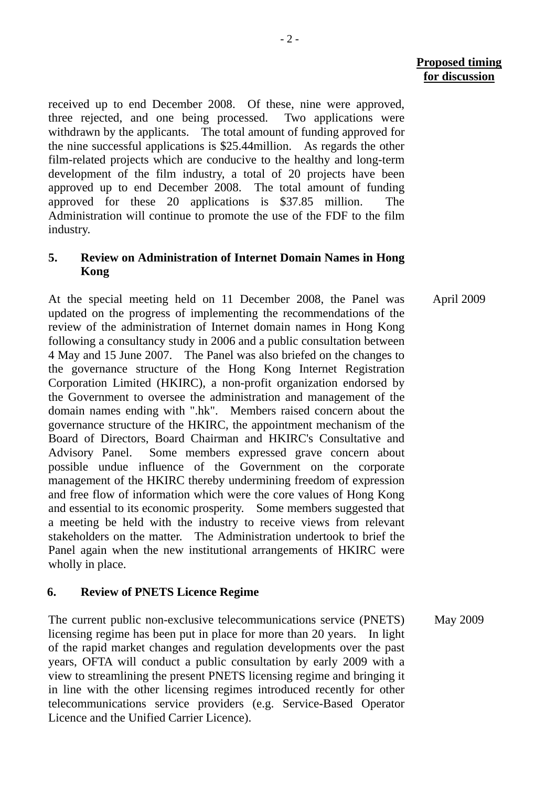April 2009

received up to end December 2008. Of these, nine were approved, three rejected, and one being processed. Two applications were withdrawn by the applicants. The total amount of funding approved for the nine successful applications is \$25.44million. As regards the other film-related projects which are conducive to the healthy and long-term development of the film industry, a total of 20 projects have been approved up to end December 2008. The total amount of funding approved for these 20 applications is \$37.85 million. Administration will continue to promote the use of the FDF to the film industry.

## **5. Review on Administration of Internet Domain Names in Hong Kong**

At the special meeting held on 11 December 2008, the Panel was updated on the progress of implementing the recommendations of the review of the administration of Internet domain names in Hong Kong following a consultancy study in 2006 and a public consultation between 4 May and 15 June 2007. The Panel was also briefed on the changes to the governance structure of the Hong Kong Internet Registration Corporation Limited (HKIRC), a non-profit organization endorsed by the Government to oversee the administration and management of the domain names ending with ".hk". Members raised concern about the governance structure of the HKIRC, the appointment mechanism of the Board of Directors, Board Chairman and HKIRC's Consultative and Advisory Panel. Some members expressed grave concern about possible undue influence of the Government on the corporate management of the HKIRC thereby undermining freedom of expression and free flow of information which were the core values of Hong Kong and essential to its economic prosperity. Some members suggested that a meeting be held with the industry to receive views from relevant stakeholders on the matter. The Administration undertook to brief the Panel again when the new institutional arrangements of HKIRC were wholly in place.

### **6. Review of PNETS Licence Regime**

The current public non-exclusive telecommunications service (PNETS) licensing regime has been put in place for more than 20 years. In light of the rapid market changes and regulation developments over the past years, OFTA will conduct a public consultation by early 2009 with a view to streamlining the present PNETS licensing regime and bringing it in line with the other licensing regimes introduced recently for other telecommunications service providers (e.g. Service-Based Operator Licence and the Unified Carrier Licence). May 2009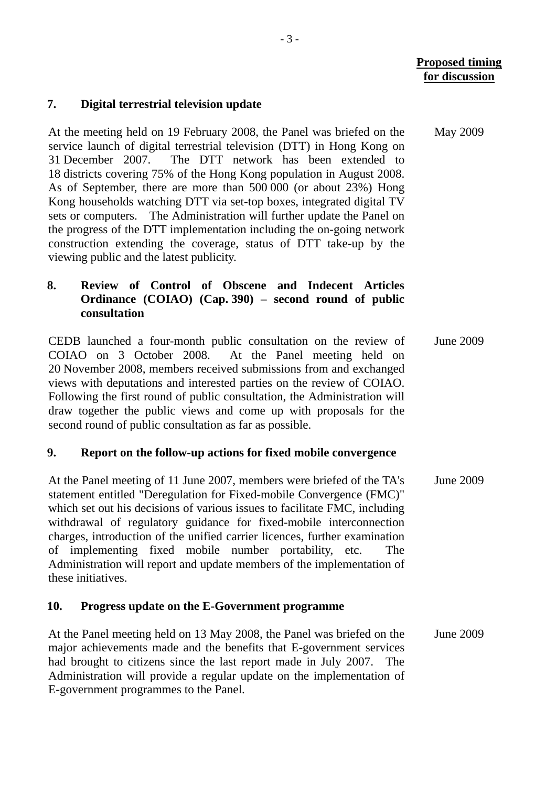May 2009

### **7. Digital terrestrial television update**

At the meeting held on 19 February 2008, the Panel was briefed on the service launch of digital terrestrial television (DTT) in Hong Kong on 31 December 2007. The DTT network has been extended to 18 districts covering 75% of the Hong Kong population in August 2008. As of September, there are more than 500 000 (or about 23%) Hong Kong households watching DTT via set-top boxes, integrated digital TV sets or computers. The Administration will further update the Panel on the progress of the DTT implementation including the on-going network construction extending the coverage, status of DTT take-up by the viewing public and the latest publicity.

# **8. Review of Control of Obscene and Indecent Articles Ordinance (COIAO) (Cap. 390) – second round of public consultation**

CEDB launched a four-month public consultation on the review of COIAO on 3 October 2008. At the Panel meeting held on 20 November 2008, members received submissions from and exchanged views with deputations and interested parties on the review of COIAO. Following the first round of public consultation, the Administration will draw together the public views and come up with proposals for the second round of public consultation as far as possible. June 2009

#### **9. Report on the follow-up actions for fixed mobile convergence**

At the Panel meeting of 11 June 2007, members were briefed of the TA's statement entitled "Deregulation for Fixed-mobile Convergence (FMC)" which set out his decisions of various issues to facilitate FMC, including withdrawal of regulatory guidance for fixed-mobile interconnection charges, introduction of the unified carrier licences, further examination of implementing fixed mobile number portability, etc. The Administration will report and update members of the implementation of these initiatives. June 2009

### **10. Progress update on the E-Government programme**

At the Panel meeting held on 13 May 2008, the Panel was briefed on the major achievements made and the benefits that E-government services had brought to citizens since the last report made in July 2007. The Administration will provide a regular update on the implementation of E-government programmes to the Panel. June 2009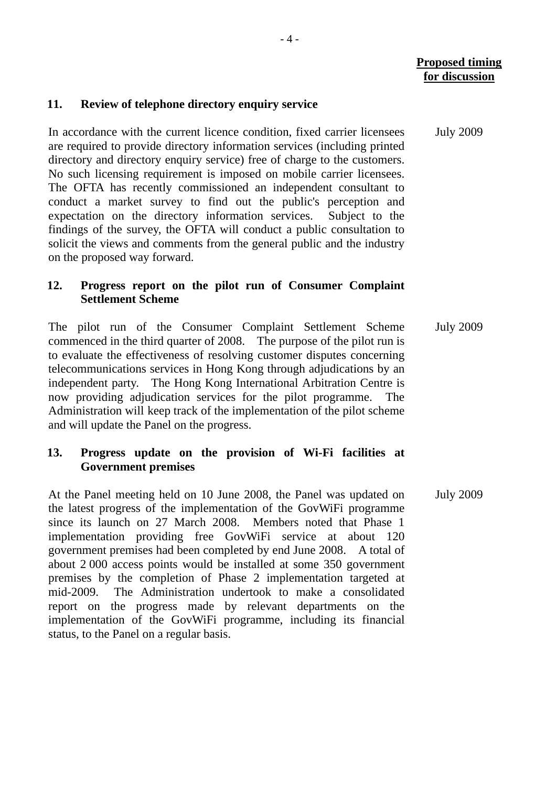#### **11. Review of telephone directory enquiry service**

In accordance with the current licence condition, fixed carrier licensees are required to provide directory information services (including printed directory and directory enquiry service) free of charge to the customers. No such licensing requirement is imposed on mobile carrier licensees. The OFTA has recently commissioned an independent consultant to conduct a market survey to find out the public's perception and expectation on the directory information services. Subject to the findings of the survey, the OFTA will conduct a public consultation to solicit the views and comments from the general public and the industry on the proposed way forward.

## **12. Progress report on the pilot run of Consumer Complaint Settlement Scheme**

The pilot run of the Consumer Complaint Settlement Scheme commenced in the third quarter of 2008. The purpose of the pilot run is to evaluate the effectiveness of resolving customer disputes concerning telecommunications services in Hong Kong through adjudications by an independent party. The Hong Kong International Arbitration Centre is now providing adjudication services for the pilot programme. The Administration will keep track of the implementation of the pilot scheme and will update the Panel on the progress. July 2009

## **13. Progress update on the provision of Wi-Fi facilities at Government premises**

At the Panel meeting held on 10 June 2008, the Panel was updated on the latest progress of the implementation of the GovWiFi programme since its launch on 27 March 2008. Members noted that Phase 1 implementation providing free GovWiFi service at about 120 government premises had been completed by end June 2008. A total of about 2 000 access points would be installed at some 350 government premises by the completion of Phase 2 implementation targeted at mid-2009. The Administration undertook to make a consolidated report on the progress made by relevant departments on the implementation of the GovWiFi programme, including its financial status, to the Panel on a regular basis. July 2009

July 2009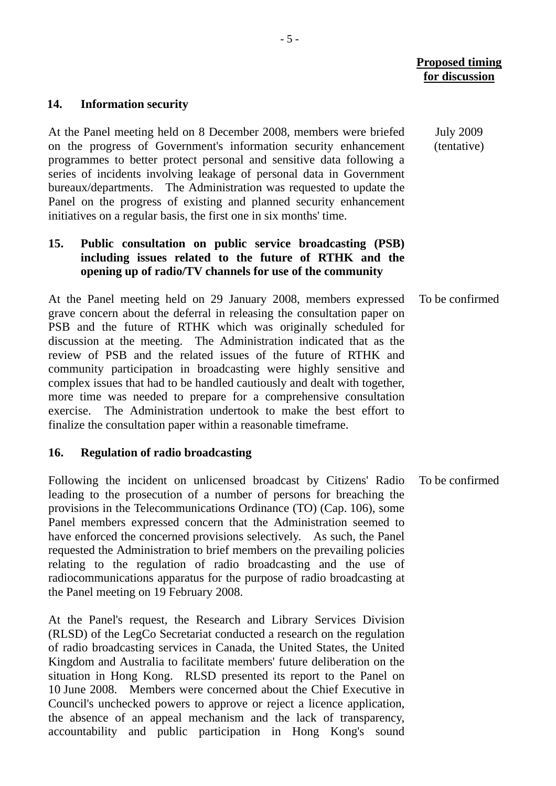#### **14. Information security**

At the Panel meeting held on 8 December 2008, members were briefed on the progress of Government's information security enhancement programmes to better protect personal and sensitive data following a series of incidents involving leakage of personal data in Government bureaux/departments. The Administration was requested to update the Panel on the progress of existing and planned security enhancement initiatives on a regular basis, the first one in six months' time.

## **15. Public consultation on public service broadcasting (PSB) including issues related to the future of RTHK and the opening up of radio/TV channels for use of the community**

At the Panel meeting held on 29 January 2008, members expressed grave concern about the deferral in releasing the consultation paper on PSB and the future of RTHK which was originally scheduled for discussion at the meeting. The Administration indicated that as the review of PSB and the related issues of the future of RTHK and community participation in broadcasting were highly sensitive and complex issues that had to be handled cautiously and dealt with together, more time was needed to prepare for a comprehensive consultation exercise. The Administration undertook to make the best effort to finalize the consultation paper within a reasonable timeframe. To be confirmed

#### **16. Regulation of radio broadcasting**

Following the incident on unlicensed broadcast by Citizens' Radio leading to the prosecution of a number of persons for breaching the provisions in the Telecommunications Ordinance (TO) (Cap. 106), some Panel members expressed concern that the Administration seemed to have enforced the concerned provisions selectively. As such, the Panel requested the Administration to brief members on the prevailing policies relating to the regulation of radio broadcasting and the use of radiocommunications apparatus for the purpose of radio broadcasting at the Panel meeting on 19 February 2008.

At the Panel's request, the Research and Library Services Division (RLSD) of the LegCo Secretariat conducted a research on the regulation of radio broadcasting services in Canada, the United States, the United Kingdom and Australia to facilitate members' future deliberation on the situation in Hong Kong. RLSD presented its report to the Panel on 10 June 2008. Members were concerned about the Chief Executive in Council's unchecked powers to approve or reject a licence application, the absence of an appeal mechanism and the lack of transparency, accountability and public participation in Hong Kong's sound

July 2009 (tentative)

To be confirmed